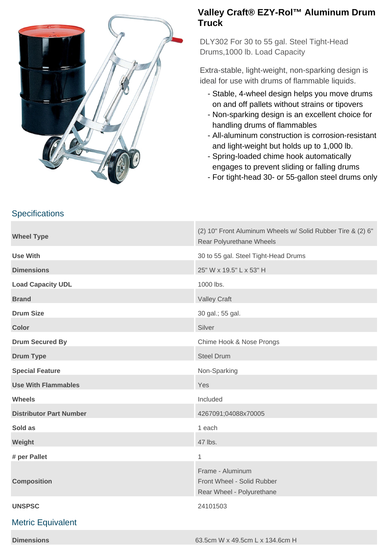

## **Valley Craft® EZY-Rol™ Aluminum Drum Truck**

DLY302 For 30 to 55 gal. Steel Tight-Head Drums,1000 lb. Load Capacity

Extra-stable, light-weight, non-sparking design is ideal for use with drums of flammable liquids.

- Stable, 4-wheel design helps you move drums on and off pallets without strains or tipovers
- Non-sparking design is an excellent choice for handling drums of flammables
- All-aluminum construction is corrosion-resistant and light-weight but holds up to 1,000 lb.
- Spring-loaded chime hook automatically engages to prevent sliding or falling drums
- For tight-head 30- or 55-gallon steel drums only

|  |  |  |  | <b>Specifications</b> |  |  |
|--|--|--|--|-----------------------|--|--|
|--|--|--|--|-----------------------|--|--|

| <b>Wheel Type</b>              | (2) 10" Front Aluminum Wheels w/ Solid Rubber Tire & (2) 6"<br>Rear Polyurethane Wheels |  |
|--------------------------------|-----------------------------------------------------------------------------------------|--|
| <b>Use With</b>                | 30 to 55 gal. Steel Tight-Head Drums                                                    |  |
| <b>Dimensions</b>              | 25" W x 19.5" L x 53" H                                                                 |  |
| <b>Load Capacity UDL</b>       | 1000 lbs.                                                                               |  |
| <b>Brand</b>                   | <b>Valley Craft</b>                                                                     |  |
| <b>Drum Size</b>               | 30 gal.; 55 gal.                                                                        |  |
| <b>Color</b>                   | Silver                                                                                  |  |
| <b>Drum Secured By</b>         | Chime Hook & Nose Prongs                                                                |  |
| <b>Drum Type</b>               | <b>Steel Drum</b>                                                                       |  |
| <b>Special Feature</b>         | Non-Sparking                                                                            |  |
| <b>Use With Flammables</b>     | Yes                                                                                     |  |
| <b>Wheels</b>                  | Included                                                                                |  |
| <b>Distributor Part Number</b> | 4267091;04088x70005                                                                     |  |
| Sold as                        | 1 each                                                                                  |  |
| Weight                         | 47 lbs.                                                                                 |  |
| # per Pallet                   | 1                                                                                       |  |
| <b>Composition</b>             | Frame - Aluminum<br>Front Wheel - Solid Rubber<br>Rear Wheel - Polyurethane             |  |
| <b>UNSPSC</b>                  | 24101503                                                                                |  |
| <b>Metric Equivalent</b>       |                                                                                         |  |
|                                |                                                                                         |  |